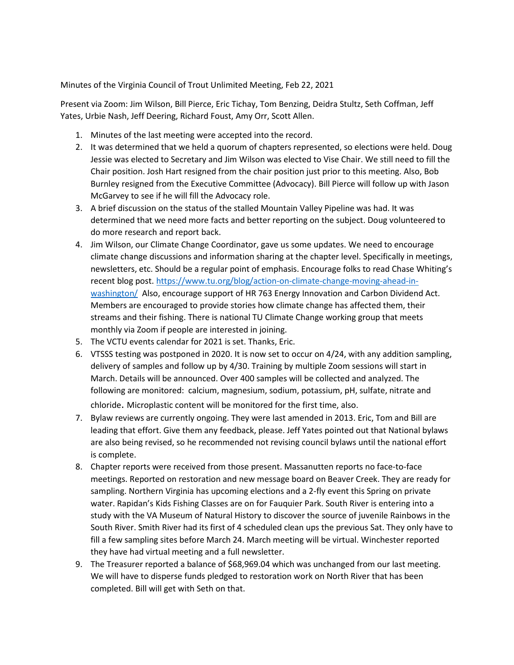Minutes of the Virginia Council of Trout Unlimited Meeting, Feb 22, 2021

Present via Zoom: Jim Wilson, Bill Pierce, Eric Tichay, Tom Benzing, Deidra Stultz, Seth Coffman, Jeff Yates, Urbie Nash, Jeff Deering, Richard Foust, Amy Orr, Scott Allen.

- 1. Minutes of the last meeting were accepted into the record.
- 2. It was determined that we held a quorum of chapters represented, so elections were held. Doug Jessie was elected to Secretary and Jim Wilson was elected to Vise Chair. We still need to fill the Chair position. Josh Hart resigned from the chair position just prior to this meeting. Also, Bob Burnley resigned from the Executive Committee (Advocacy). Bill Pierce will follow up with Jason McGarvey to see if he will fill the Advocacy role.
- 3. A brief discussion on the status of the stalled Mountain Valley Pipeline was had. It was determined that we need more facts and better reporting on the subject. Doug volunteered to do more research and report back.
- 4. Jim Wilson, our Climate Change Coordinator, gave us some updates. We need to encourage climate change discussions and information sharing at the chapter level. Specifically in meetings, newsletters, etc. Should be a regular point of emphasis. Encourage folks to read Chase Whiting's recent blog post. [https://www.tu.org/blog/action-on-climate-change-moving-ahead-in](https://www.tu.org/blog/action-on-climate-change-moving-ahead-in-washington/)[washington/](https://www.tu.org/blog/action-on-climate-change-moving-ahead-in-washington/) Also, encourage support of HR 763 Energy Innovation and Carbon Dividend Act. Members are encouraged to provide stories how climate change has affected them, their streams and their fishing. There is national TU Climate Change working group that meets monthly via Zoom if people are interested in joining.
- 5. The VCTU events calendar for 2021 is set. Thanks, Eric.
- 6. VTSSS testing was postponed in 2020. It is now set to occur on 4/24, with any addition sampling, delivery of samples and follow up by 4/30. Training by multiple Zoom sessions will start in March. Details will be announced. Over 400 samples will be collected and analyzed. The following are monitored: calcium, magnesium, sodium, potassium, pH, sulfate, nitrate and chloride. Microplastic content will be monitored for the first time, also.
- 7. Bylaw reviews are currently ongoing. They were last amended in 2013. Eric, Tom and Bill are leading that effort. Give them any feedback, please. Jeff Yates pointed out that National bylaws are also being revised, so he recommended not revising council bylaws until the national effort is complete.
- 8. Chapter reports were received from those present. Massanutten reports no face-to-face meetings. Reported on restoration and new message board on Beaver Creek. They are ready for sampling. Northern Virginia has upcoming elections and a 2-fly event this Spring on private water. Rapidan's Kids Fishing Classes are on for Fauquier Park. South River is entering into a study with the VA Museum of Natural History to discover the source of juvenile Rainbows in the South River. Smith River had its first of 4 scheduled clean ups the previous Sat. They only have to fill a few sampling sites before March 24. March meeting will be virtual. Winchester reported they have had virtual meeting and a full newsletter.
- 9. The Treasurer reported a balance of \$68,969.04 which was unchanged from our last meeting. We will have to disperse funds pledged to restoration work on North River that has been completed. Bill will get with Seth on that.